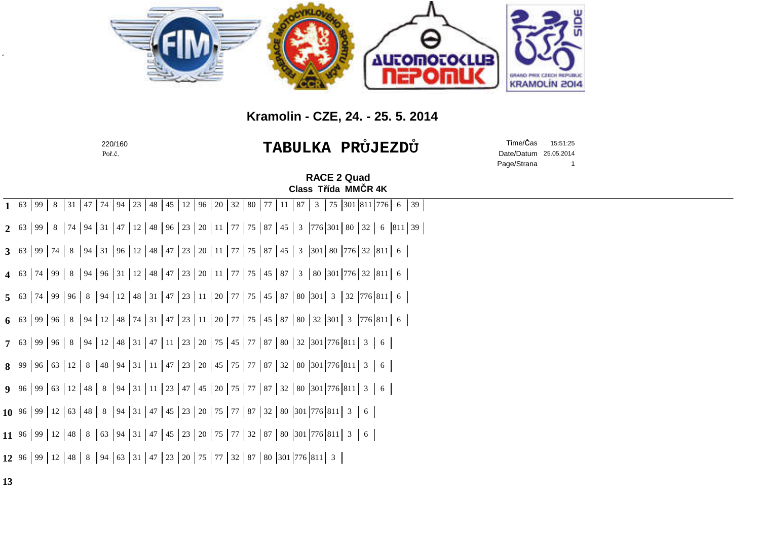

## **Kramolin - CZE, 24. - 25. 5. 2014**

|    | 220/160<br>Poř.č.                                                                                                                    |                                           | <b>TABULKA PRÜJEZDÜ</b> | Time/Čas<br>Date/Datum<br>Page/Strana | 15:51:25<br>25.05.2014<br>$\overline{1}$ |  |
|----|--------------------------------------------------------------------------------------------------------------------------------------|-------------------------------------------|-------------------------|---------------------------------------|------------------------------------------|--|
|    |                                                                                                                                      | <b>RACE 2 Quad</b><br>Class Třída MMČR 4K |                         |                                       |                                          |  |
|    | 94   23   48   45   12   96   20   32   80   77  <br>8<br>$47 \mid 74$<br>$1 \t 63$<br> 99 <br>31                                    | 87<br>$\mathbf{3}$<br>-11                 | 75 301 811 776 6 39     |                                       |                                          |  |
|    | 99   8   74   94   31   47   12   48   96   23   20   11   77   75   87   45   3   776   301   80   32   6   811   39  <br>$2^{63}$  |                                           |                         |                                       |                                          |  |
|    | 8   94   31   96   12   48   47   23   20   11   77   75   87   45   3   301   80   776   32   811   6<br>3 63   99   74             |                                           |                         |                                       |                                          |  |
|    | 8   94   96   31   12   48   47   23   20   11   77   75   45   87   3   80   301   776   32   811   6<br>$\mid$ 74   99  <br>4 $63$ |                                           |                         |                                       |                                          |  |
|    | 5 63 74 99 96 8 94 12 48 31 47 23 11 20 77 75 45 87 80 301 3 32 776 811 6                                                            |                                           |                         |                                       |                                          |  |
|    | 99   96   8   94   12   48   74   31   47   23   11   20   77   75   45   87   80   32   301   3   776   811   6<br>6 63             |                                           |                         |                                       |                                          |  |
|    | <b>7</b> 63 99 96 8 94 12 48 31 47 11 23 20 75 45 77 87 80 32 301 776 811 3                                                          |                                           | $6 \mid$                |                                       |                                          |  |
|    | 8 99 96 63 12 8 48 94 31 11 47 23 20 45 75 77 87 32 80 301 776 811 3                                                                 |                                           | $6 \mid$                |                                       |                                          |  |
|    | <b>9</b> 96 99 63 12 48 8 94 31 11 23 47 45 20 75 77 87 32 80 301 776 811 3                                                          |                                           | $6 \mid$                |                                       |                                          |  |
|    | 10 96 99 12 63 48 8 94 31 47 45 23 20 75 77 87 32 80 301 776 811 3 6                                                                 |                                           |                         |                                       |                                          |  |
|    | 11 96 99 12 48 8 63 94 31 47 45 23 20 75 77 32 87 80 301 776 811 3 6                                                                 |                                           |                         |                                       |                                          |  |
|    | 12 96 99 12 48 8 94 63 31 47 23 20 75 77 32 87 80 301 776 811 3                                                                      |                                           |                         |                                       |                                          |  |
| 13 |                                                                                                                                      |                                           |                         |                                       |                                          |  |